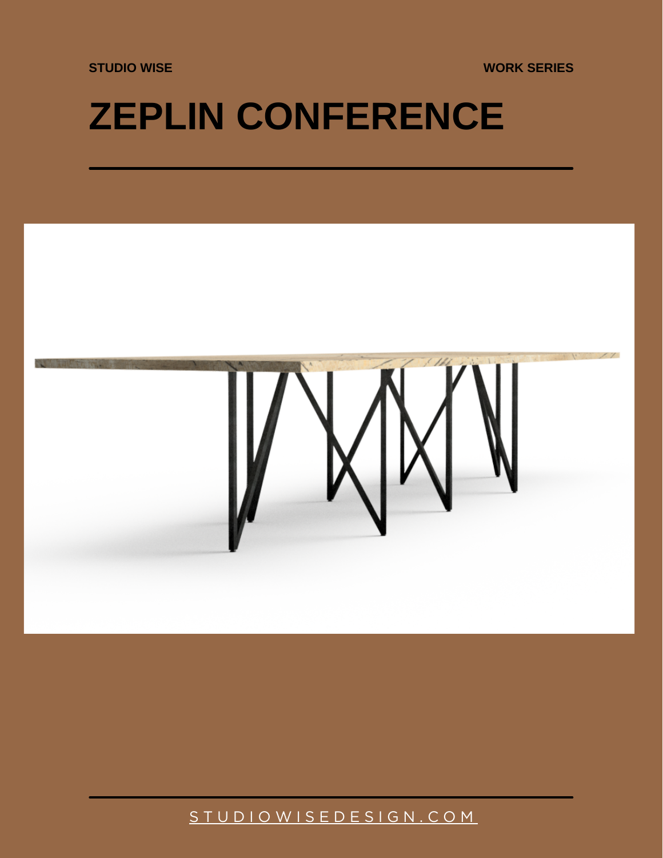**STUDIO WISE WORK SERIES**

## **ZEPLIN CONFERENCE**



[S T U D I O W I S E D E S I G N . C O M](https://studiowisedesign.com/)